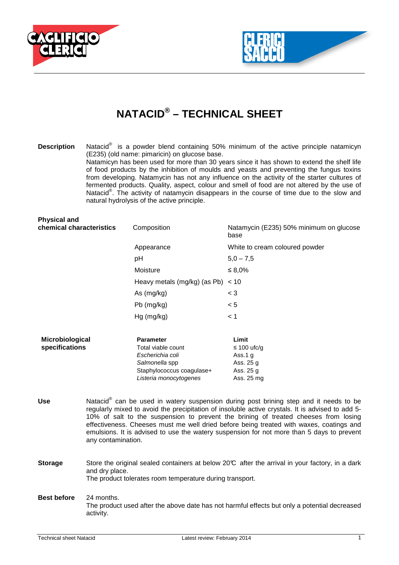



## **NATACID® – TECHNICAL SHEET**

**Description** Natacid<sup>®</sup> is a powder blend containing 50% minimum of the active principle natamicyn (E235) (old name: pimaricin) on glucose base. Natamicyn has been used for more than 30 years since it has shown to extend the shelf life of food products by the inhibition of moulds and yeasts and preventing the fungus toxins from developing. Natamycin has not any influence on the activity of the starter cultures of fermented products. Quality, aspect, colour and smell of food are not altered by the use of Natacid<sup>®</sup>. The activity of natamycin disappears in the course of time due to the slow and natural hydrolysis of the active principle.

| <b>Physical and</b><br>chemical characteristics |                                                                                                                                                                                                                                                                                                                                                                                                                                                                                                            | Composition                                                                                                                         | Natamycin (E235) 50% minimum on glucose<br>base                                |
|-------------------------------------------------|------------------------------------------------------------------------------------------------------------------------------------------------------------------------------------------------------------------------------------------------------------------------------------------------------------------------------------------------------------------------------------------------------------------------------------------------------------------------------------------------------------|-------------------------------------------------------------------------------------------------------------------------------------|--------------------------------------------------------------------------------|
|                                                 |                                                                                                                                                                                                                                                                                                                                                                                                                                                                                                            | Appearance                                                                                                                          | White to cream coloured powder                                                 |
|                                                 |                                                                                                                                                                                                                                                                                                                                                                                                                                                                                                            | pH                                                                                                                                  | $5,0 - 7,5$                                                                    |
|                                                 |                                                                                                                                                                                                                                                                                                                                                                                                                                                                                                            | Moisture                                                                                                                            | $\leq 8.0\%$                                                                   |
|                                                 |                                                                                                                                                                                                                                                                                                                                                                                                                                                                                                            | Heavy metals (mg/kg) (as Pb)                                                                                                        | < 10                                                                           |
|                                                 |                                                                                                                                                                                                                                                                                                                                                                                                                                                                                                            | As (mg/kg)                                                                                                                          | $<$ 3                                                                          |
|                                                 |                                                                                                                                                                                                                                                                                                                                                                                                                                                                                                            | Pb (mg/kg)                                                                                                                          | < 5                                                                            |
|                                                 |                                                                                                                                                                                                                                                                                                                                                                                                                                                                                                            | Hg (mg/kg)                                                                                                                          | < 1                                                                            |
| Microbiological<br>specifications               |                                                                                                                                                                                                                                                                                                                                                                                                                                                                                                            | <b>Parameter</b><br>Total viable count<br>Escherichia coli<br>Salmonella spp<br>Staphylococcus coagulase+<br>Listeria monocytogenes | Limit<br>$\leq$ 100 ufc/g<br>Ass.1 $g$<br>Ass. 25 g<br>Ass. 25 g<br>Ass. 25 mg |
| <b>Use</b>                                      | Natacid <sup>®</sup> can be used in watery suspension during post brining step and it needs to be<br>regularly mixed to avoid the precipitation of insoluble active crystals. It is advised to add 5-<br>10% of salt to the suspension to prevent the brining of treated cheeses from losing<br>effectiveness. Cheeses must me well dried before being treated with waxes, coatings and<br>emulsions. It is advised to use the watery suspension for not more than 5 days to prevent<br>any contamination. |                                                                                                                                     |                                                                                |
| <b>Storage</b>                                  | Store the original sealed containers at below 20°C after the arrival in your factory, in a dark<br>and dry place.<br>The product tolerates room temperature during transport.                                                                                                                                                                                                                                                                                                                              |                                                                                                                                     |                                                                                |

**Best before** 24 months. The product used after the above date has not harmful effects but only a potential decreased activity.